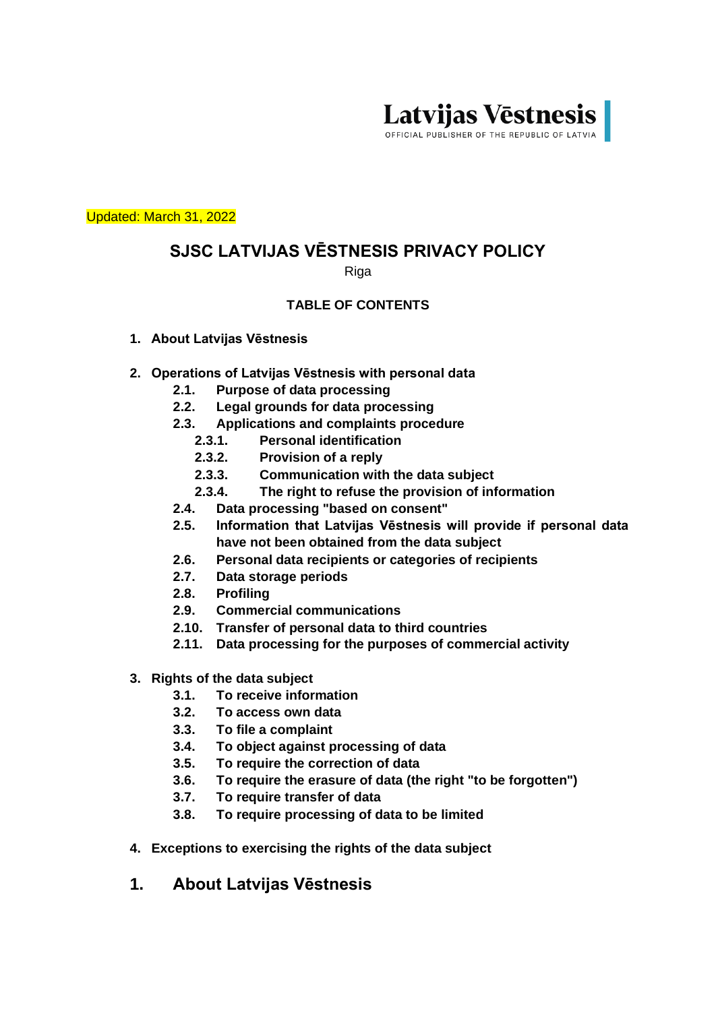

Updated: March 31, 2022

# **SJSC LATVIJAS VĒSTNESIS PRIVACY POLICY**

Riga

#### **TABLE OF CONTENTS**

- **1. About Latvijas Vēstnesis**
- **2. Operations of Latvijas Vēstnesis with personal data**
	- **2.1. Purpose of data processing**
	- **2.2. Legal grounds for data processing**
	- **2.3. Applications and complaints procedure**
		- **2.3.1. Personal identification**
		- **2.3.2. Provision of a reply**
		- **2.3.3. Communication with the data subject**
		- **2.3.4. The right to refuse the provision of information**
	- **2.4. Data processing "based on consent"**
	- **2.5. Information that Latvijas Vēstnesis will provide if personal data have not been obtained from the data subject**
	- **2.6. Personal data recipients or categories of recipients**
	- **2.7. Data storage periods**
	- **2.8. Profiling**
	- **2.9. Commercial communications**
	- **2.10. Transfer of personal data to third countries**
	- **2.11. Data processing for the purposes of commercial activity**
- **3. Rights of the data subject**
	- **3.1. To receive information**
	- **3.2. To access own data**
	- **3.3. To file a complaint**
	- **3.4. To object against processing of data**
	- **3.5. To require the correction of data**
	- **3.6. To require the erasure of data (the right "to be forgotten")**
	- **3.7. To require transfer of data**
	- **3.8. To require processing of data to be limited**
- **4. Exceptions to exercising the rights of the data subject**
- **1. About Latvijas Vēstnesis**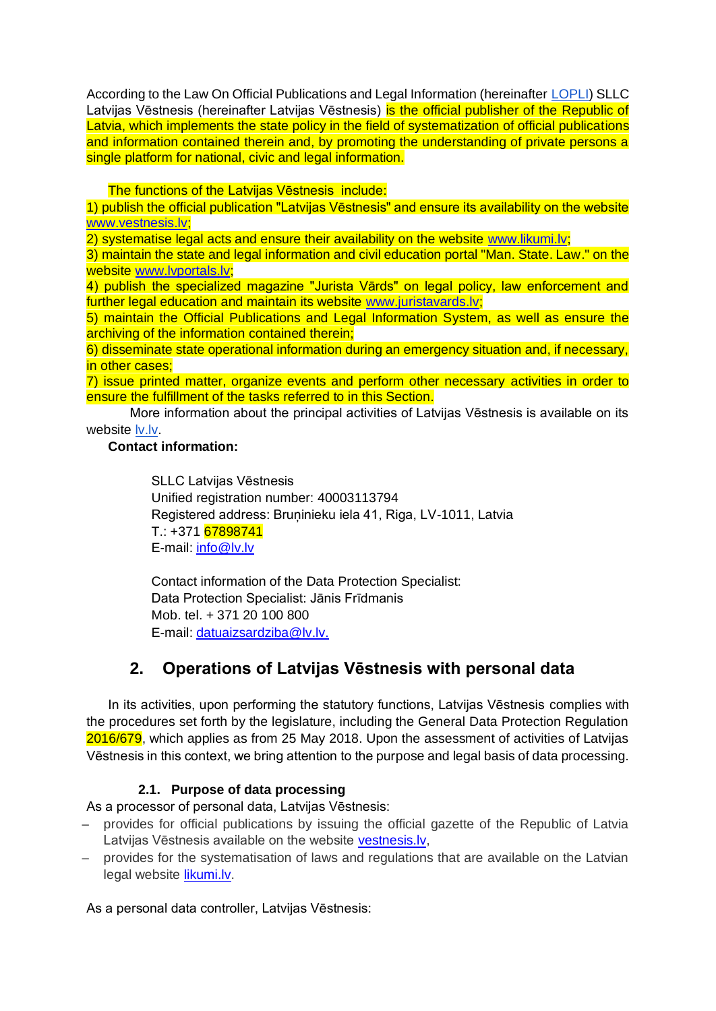According to the Law On Official Publications and Legal Information (hereinafter [LOPLI\)](https://likumi.lv/doc.php?id=249322) SLLC Latvijas Vēstnesis (hereinafter Latvijas Vēstnesis) is the official publisher of the Republic of Latvia, which implements the state policy in the field of systematization of official publications and information contained therein and, by promoting the understanding of private persons a single platform for national, civic and legal information.

The functions of the Latvijas Vēstnesis include:

1) publish the official publication "Latvijas Vēstnesis" and ensure its availability on the website www.vestnesis.lv;

2) systematise legal acts and ensure their availability on the website www.likumi.lv;

3) maintain the state and legal information and civil education portal "Man. State. Law." on the website www.lvportals.lv;

4) publish the specialized magazine "Jurista Vārds" on legal policy, law enforcement and further legal education and maintain its website www.juristavards.lv;

5) maintain the Official Publications and Legal Information System, as well as ensure the archiving of the information contained therein;

6) disseminate state operational information during an emergency situation and, if necessary, in other cases;

7) issue printed matter, organize events and perform other necessary activities in order to ensure the fulfillment of the tasks referred to in this Section.

More information about the principal activities of Latvijas Vēstnesis is available on its website [lv.lv](https://lv.lv/?menu=par_mums&sid=1)[.](http://www.lv.lv/)

#### **Contact information:**

SLLC Latvijas Vēstnesis Unified registration number: 40003113794 Registered address: Bruņinieku iela 41, Riga, LV-1011, Latvia T.: +371 67898741 E-mail: [info@lv.lv](mailto:info@lv.lv)

Contact information of the Data Protection Specialist: Data Protection Specialist: Jānis Frīdmanis Mob. tel. + 371 20 100 800 E-mail: [datuaizsardziba@lv.lv.](mailto:datuaizsardziba@lv.lv)

# **2. Operations of Latvijas Vēstnesis with personal data**

In its activities, upon performing the statutory functions, Latvijas Vēstnesis complies with the procedures set forth by the legislature, including the General Data Protection Regulation 2016/679, which applies as from 25 May 2018. Upon the assessment of activities of Latvijas Vēstnesis in this context, we bring attention to the purpose and legal basis of data processing.

#### **2.1. Purpose of data processing**

As a processor of personal data, Latvijas Vēstnesis:

- provides for official publications by issuing the official gazette of the Republic of Latvia Latvijas Vēstnesis available on the website [vestnesis.lv,](http://www.vestnesis.lv/)
- provides for the systematisation of laws and regulations that are available on the Latvian legal website [likumi.lv.](http://www.likumi.lv/)

As a personal data controller, Latvijas Vēstnesis: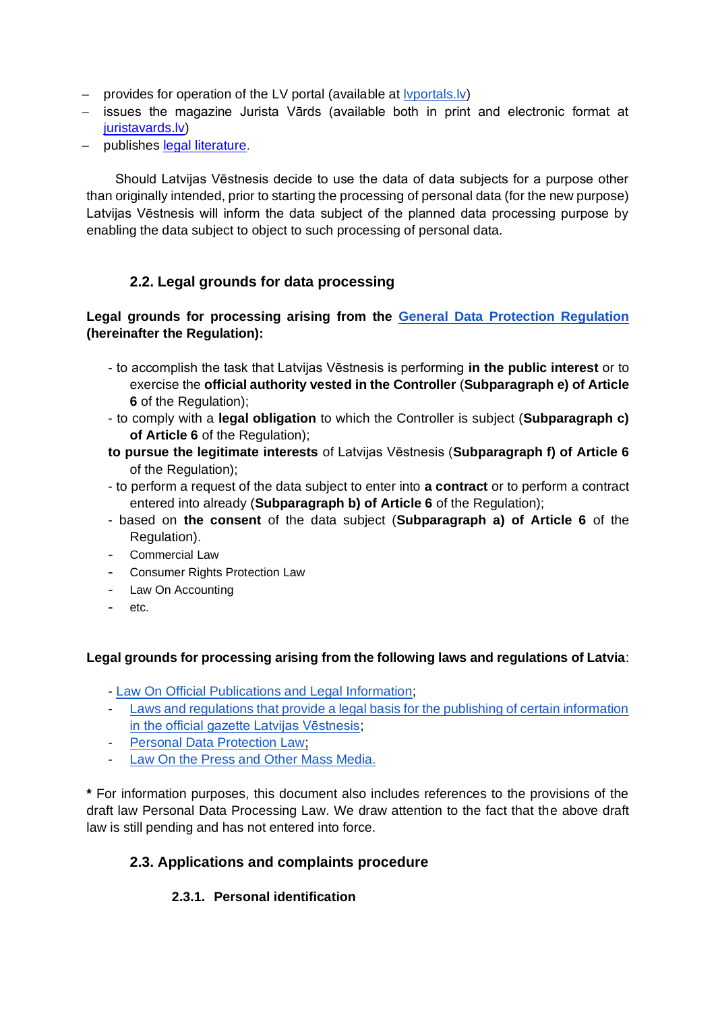- provides for operation of the LV portal (available at [lvportals.lv\)](http://www.lvportals.lv/)
- issues the magazine Jurista Vārds (available both in print and electronic format at [juristavards.lv\)](https://juristavards.lv/veikals/produkta-kategorija/abonementi/)
- publishes [legal literature.](https://juristavards.lv/veikals/produkta-kategorija/gramatas/)

Should Latvijas Vēstnesis decide to use the data of data subjects for a purpose other than originally intended, prior to starting the processing of personal data (for the new purpose) Latvijas Vēstnesis will inform the data subject of the planned data processing purpose by enabling the data subject to object to such processing of personal data.

# **2.2. Legal grounds for data processing**

**Legal grounds for processing arising from the [General Data Protection Regulation](https://eur-lex.europa.eu/legal-content/LV/TXT/?uri=CELEX:32016R0679) (hereinafter the Regulation):**

- to accomplish the task that Latvijas Vēstnesis is performing **in the public interest** or to exercise the **official authority vested in the Controller** (**Subparagraph e) of Article 6** of the Regulation);
- to comply with a **legal obligation** to which the Controller is subject (**Subparagraph c) of Article 6** of the Regulation);
- **to pursue the legitimate interests** of Latvijas Vēstnesis (**Subparagraph f) of Article 6**  of the Regulation);
- to perform a request of the data subject to enter into **a contract** or to perform a contract entered into already (**Subparagraph b) of Article 6** of the Regulation);
- based on **the consent** of the data subject (**Subparagraph a) of Article 6** of the Regulation).
- Commercial Law
- Consumer Rights Protection Law
- Law On Accounting
- etc.

#### **Legal grounds for processing arising from the following laws and regulations of Latvia**:

- [Law On Official Publications and Legal Information;](https://likumi.lv/ta/id/249322)
- [Laws and regulations that provide a legal basis for the publishing of certain information](https://www.vestnesis.lv/oficialais-izdevums/normativie-akti)  [in the official gazette Latvijas Vēstnesis;](https://www.vestnesis.lv/oficialais-izdevums/normativie-akti)
- [Personal Data Protection Law;](https://likumi.lv/doc.php?id=4042)
- [Law On the Press and Other Mass Media.](https://likumi.lv/ta/id/64879)

**\*** For information purposes, this document also includes references to the provisions of the draft law Personal Data Processing Law. We draw attention to the fact that the above draft law is still pending and has not entered into force.

#### **2.3. Applications and complaints procedure**

#### **2.3.1. Personal identification**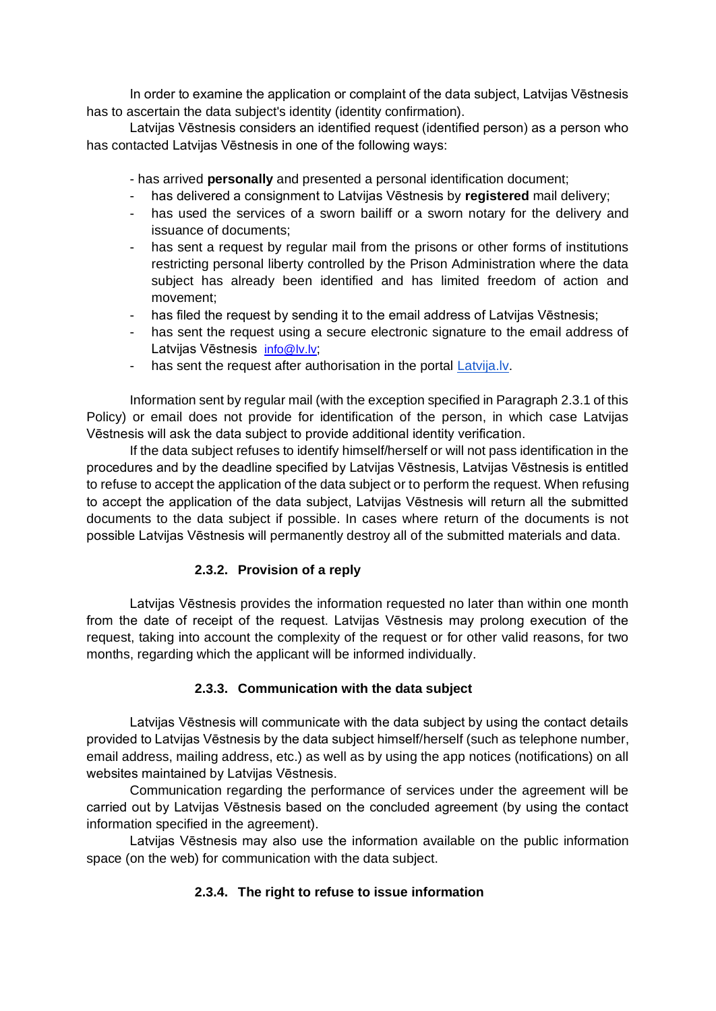In order to examine the application or complaint of the data subject, Latvijas Vēstnesis has to ascertain the data subject's identity (identity confirmation).

Latvijas Vēstnesis considers an identified request (identified person) as a person who has contacted Latvijas Vēstnesis in one of the following ways:

- has arrived **personally** and presented a personal identification document;

- has delivered a consignment to Latvijas Vēstnesis by registered mail delivery;
- has used the services of a sworn bailiff or a sworn notary for the delivery and issuance of documents;
- has sent a request by regular mail from the prisons or other forms of institutions restricting personal liberty controlled by the Prison Administration where the data subject has already been identified and has limited freedom of action and movement;
- has filed the request by sending it to the email address of Latvijas Vēstnesis;
- has sent the request using a secure electronic signature to the email address of Latvijas Vēstnesis *[info@lv.lv](mailto:info@lv.lv):*
- has sent the request after authorisation in the portal [Latvija.lv.](http://www.latvija.lv/)

Information sent by regular mail (with the exception specified in Paragraph 2.3.1 of this Policy) or email does not provide for identification of the person, in which case Latvijas Vēstnesis will ask the data subject to provide additional identity verification.

If the data subject refuses to identify himself/herself or will not pass identification in the procedures and by the deadline specified by Latvijas Vēstnesis, Latvijas Vēstnesis is entitled to refuse to accept the application of the data subject or to perform the request. When refusing to accept the application of the data subject, Latvijas Vēstnesis will return all the submitted documents to the data subject if possible. In cases where return of the documents is not possible Latvijas Vēstnesis will permanently destroy all of the submitted materials and data.

#### **2.3.2. Provision of a reply**

Latvijas Vēstnesis provides the information requested no later than within one month from the date of receipt of the request. Latvijas Vēstnesis may prolong execution of the request, taking into account the complexity of the request or for other valid reasons, for two months, regarding which the applicant will be informed individually.

#### **2.3.3. Communication with the data subject**

Latvijas Vēstnesis will communicate with the data subject by using the contact details provided to Latvijas Vēstnesis by the data subject himself/herself (such as telephone number, email address, mailing address, etc.) as well as by using the app notices (notifications) on all websites maintained by Latvijas Vēstnesis.

Communication regarding the performance of services under the agreement will be carried out by Latvijas Vēstnesis based on the concluded agreement (by using the contact information specified in the agreement).

Latvijas Vēstnesis may also use the information available on the public information space (on the web) for communication with the data subject.

#### **2.3.4. The right to refuse to issue information**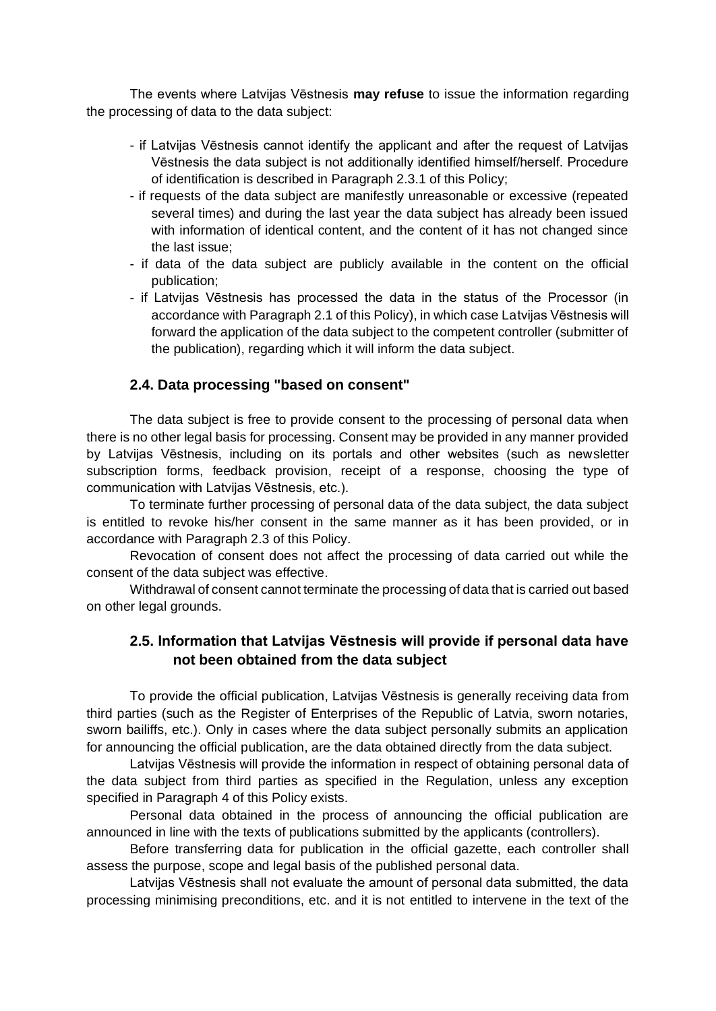The events where Latvijas Vēstnesis **may refuse** to issue the information regarding the processing of data to the data subject:

- if Latvijas Vēstnesis cannot identify the applicant and after the request of Latvijas Vēstnesis the data subject is not additionally identified himself/herself. Procedure of identification is described in Paragraph 2.3.1 of this Policy;
- if requests of the data subject are manifestly unreasonable or excessive (repeated several times) and during the last year the data subject has already been issued with information of identical content, and the content of it has not changed since the last issue;
- if data of the data subject are publicly available in the content on the official publication;
- if Latvijas Vēstnesis has processed the data in the status of the Processor (in accordance with Paragraph 2.1 of this Policy), in which case Latvijas Vēstnesis will forward the application of the data subject to the competent controller (submitter of the publication), regarding which it will inform the data subject.

#### **2.4. Data processing "based on consent"**

The data subject is free to provide consent to the processing of personal data when there is no other legal basis for processing. Consent may be provided in any manner provided by Latvijas Vēstnesis, including on its portals and other websites (such as newsletter subscription forms, feedback provision, receipt of a response, choosing the type of communication with Latvijas Vēstnesis, etc.).

To terminate further processing of personal data of the data subject, the data subject is entitled to revoke his/her consent in the same manner as it has been provided, or in accordance with Paragraph 2.3 of this Policy.

Revocation of consent does not affect the processing of data carried out while the consent of the data subject was effective.

Withdrawal of consent cannot terminate the processing of data that is carried out based on other legal grounds.

#### **2.5. Information that Latvijas Vēstnesis will provide if personal data have not been obtained from the data subject**

To provide the official publication, Latvijas Vēstnesis is generally receiving data from third parties (such as the Register of Enterprises of the Republic of Latvia, sworn notaries, sworn bailiffs, etc.). Only in cases where the data subject personally submits an application for announcing the official publication, are the data obtained directly from the data subject.

Latvijas Vēstnesis will provide the information in respect of obtaining personal data of the data subject from third parties as specified in the Regulation, unless any exception specified in Paragraph 4 of this Policy exists.

Personal data obtained in the process of announcing the official publication are announced in line with the texts of publications submitted by the applicants (controllers).

Before transferring data for publication in the official gazette, each controller shall assess the purpose, scope and legal basis of the published personal data.

Latvijas Vēstnesis shall not evaluate the amount of personal data submitted, the data processing minimising preconditions, etc. and it is not entitled to intervene in the text of the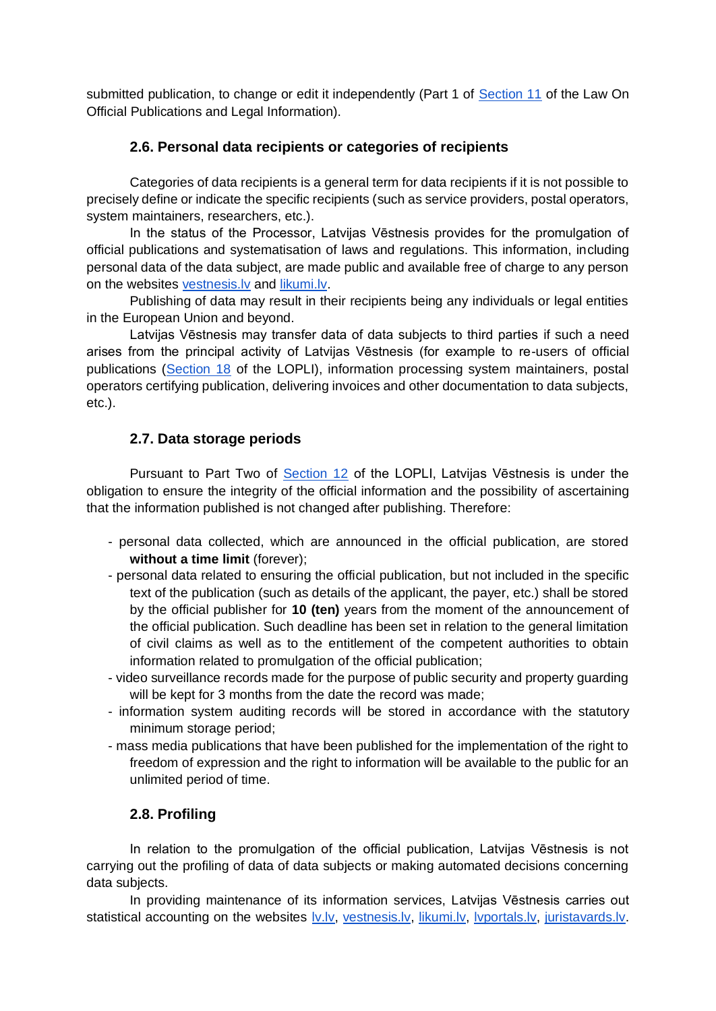submitted publication, to change or edit it independently (Part 1 of [Section 11](https://likumi.lv/ta/id/249322-oficialo-publikaciju-un-tiesiskas-informacijas-likums#p-434001) of the Law On Official Publications and Legal Information).

#### **2.6. Personal data recipients or categories of recipients**

Categories of data recipients is a general term for data recipients if it is not possible to precisely define or indicate the specific recipients (such as service providers, postal operators, system maintainers, researchers, etc.).

In the status of the Processor, Latvijas Vēstnesis provides for the promulgation of official publications and systematisation of laws and regulations. This information, including personal data of the data subject, are made public and available free of charge to any person on the website[s](http://www.vestnesis.lv/) [vestnesis.lv](http://www.vestnesis.lv/) an[d](http://www.likumi.lv/) [likumi.lv.](http://www.likumi.lv/)

Publishing of data may result in their recipients being any individuals or legal entities in the European Union and beyond.

Latvijas Vēstnesis may transfer data of data subjects to third parties if such a need arises from the principal activity of Latvijas Vēstnesis (for example to re-users of official publications [\(Section 18](https://likumi.lv/ta/id/249322-oficialo-publikaciju-un-tiesiskas-informacijas-likums#p-434008) of the LOPLI), information processing system maintainers, postal operators certifying publication, delivering invoices and other documentation to data subjects, etc.).

#### **2.7. Data storage periods**

Pursuant to Part Two of [Section 12](https://likumi.lv/ta/id/249322-oficialo-publikaciju-un-tiesiskas-informacijas-likums#p-434002) of the LOPLI, Latvijas Vēstnesis is under the obligation to ensure the integrity of the official information and the possibility of ascertaining that the information published is not changed after publishing. Therefore:

- personal data collected, which are announced in the official publication, are stored **without a time limit** (forever);
- personal data related to ensuring the official publication, but not included in the specific text of the publication (such as details of the applicant, the payer, etc.) shall be stored by the official publisher for **10 (ten)** years from the moment of the announcement of the official publication. Such deadline has been set in relation to the general limitation of civil claims as well as to the entitlement of the competent authorities to obtain information related to promulgation of the official publication;
- video surveillance records made for the purpose of public security and property guarding will be kept for 3 months from the date the record was made;
- information system auditing records will be stored in accordance with the statutory minimum storage period;
- mass media publications that have been published for the implementation of the right to freedom of expression and the right to information will be available to the public for an unlimited period of time.

# **2.8. Profiling**

In relation to the promulgation of the official publication, Latvijas Vēstnesis is not carrying out the profiling of data of data subjects or making automated decisions concerning data subjects.

In providing maintenance of its information services, Latvijas Vēstnesis carries out statistical accounting on the websites **Iv.lv, [vestnesis.lv,](http://www.vestnesis.lv/) [likumi.lv,](http://www.likumi.lv/) lyportals.lv**, [juristavards.lv.](http://www.juristavards.lv/)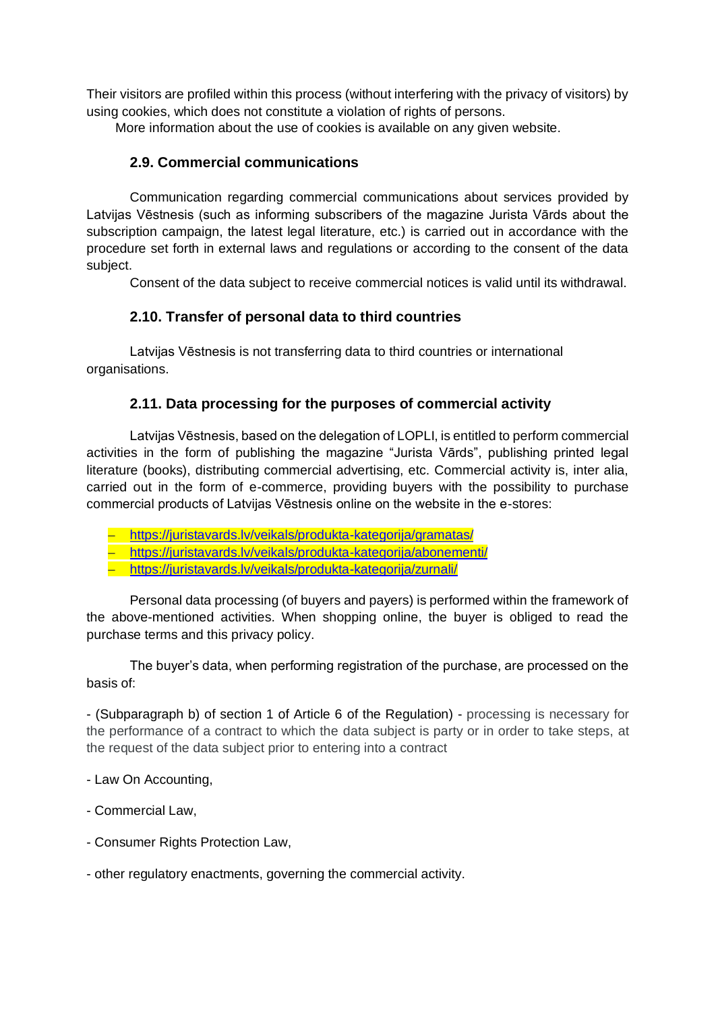Their visitors are profiled within this process (without interfering with the privacy of visitors) by using cookies, which does not constitute a violation of rights of persons.

More information about the use of cookies is available on any given website.

## **2.9. Commercial communications**

Communication regarding commercial communications about services provided by Latvijas Vēstnesis (such as informing subscribers of the magazine Jurista Vārds about the subscription campaign, the latest legal literature, etc.) is carried out in accordance with the procedure set forth in external laws and regulations or according to the consent of the data subject.

Consent of the data subject to receive commercial notices is valid until its withdrawal.

## **2.10. Transfer of personal data to third countries**

Latvijas Vēstnesis is not transferring data to third countries or international organisations.

## **2.11. Data processing for the purposes of commercial activity**

Latvijas Vēstnesis, based on the delegation of LOPLI, is entitled to perform commercial activities in the form of publishing the magazine "Jurista Vārds", publishing printed legal literature (books), distributing commercial advertising, etc. Commercial activity is, inter alia, carried out in the form of e-commerce, providing buyers with the possibility to purchase commercial products of Latvijas Vēstnesis online on the website in the e-stores:

- <https://juristavards.lv/veikals/produkta-kategorija/gramatas/>
- <https://juristavards.lv/veikals/produkta-kategorija/abonementi/>
- <https://juristavards.lv/veikals/produkta-kategorija/zurnali/>

Personal data processing (of buyers and payers) is performed within the framework of the above-mentioned activities. When shopping online, the buyer is obliged to read the purchase terms and this privacy policy.

The buyer's data, when performing registration of the purchase, are processed on the basis of:

- (Subparagraph b) of section 1 of Article 6 of the Regulation) - processing is necessary for the performance of a contract to which the data subject is party or in order to take steps, at the request of the data subject prior to entering into a contract

- Law On Accounting,
- Commercial Law,
- Consumer Rights Protection Law,
- other regulatory enactments, governing the commercial activity.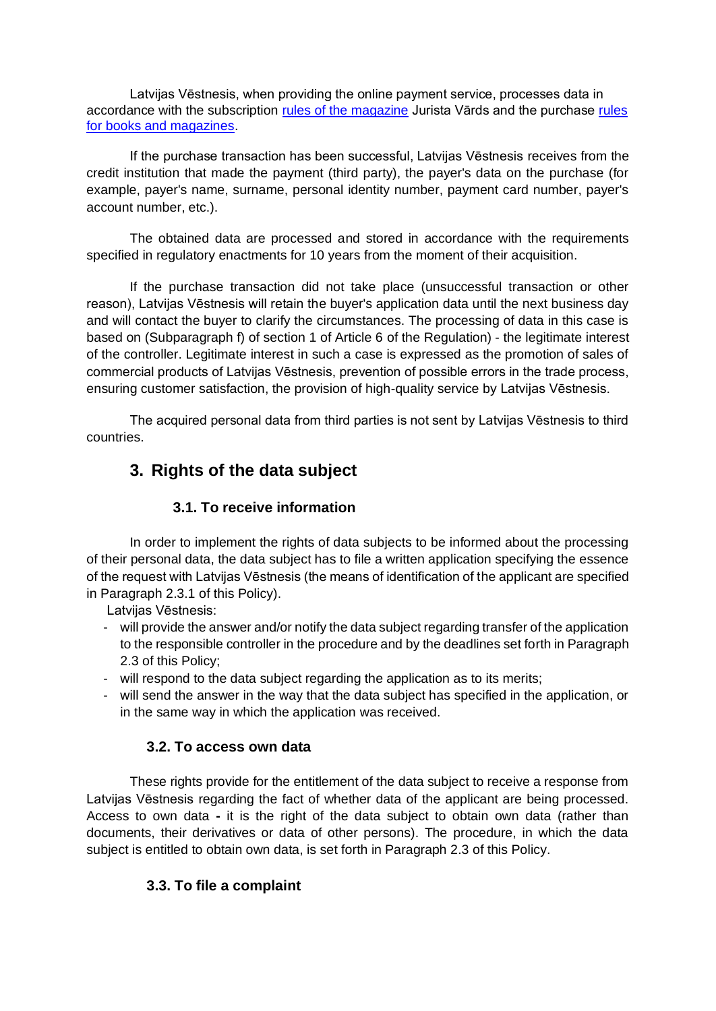Latvijas Vēstnesis, when providing the online payment service, processes data in accordance with the subscription [rules of the magazine](https://juristavards.lv/veikals/abonesanas-noteikumi/) Jurista Vārds and the purchase [rules](https://juristavards.lv/veikals/iegades-noteikumi/)  [for books and magazines.](https://juristavards.lv/veikals/iegades-noteikumi/)

If the purchase transaction has been successful, Latvijas Vēstnesis receives from the credit institution that made the payment (third party), the payer's data on the purchase (for example, payer's name, surname, personal identity number, payment card number, payer's account number, etc.).

The obtained data are processed and stored in accordance with the requirements specified in regulatory enactments for 10 years from the moment of their acquisition.

If the purchase transaction did not take place (unsuccessful transaction or other reason), Latvijas Vēstnesis will retain the buyer's application data until the next business day and will contact the buyer to clarify the circumstances. The processing of data in this case is based on (Subparagraph f) of section 1 of Article 6 of the Regulation) - the legitimate interest of the controller. Legitimate interest in such a case is expressed as the promotion of sales of commercial products of Latvijas Vēstnesis, prevention of possible errors in the trade process, ensuring customer satisfaction, the provision of high-quality service by Latvijas Vēstnesis.

The acquired personal data from third parties is not sent by Latvijas Vēstnesis to third countries.

# **3. Rights of the data subject**

# **3.1. To receive information**

In order to implement the rights of data subjects to be informed about the processing of their personal data, the data subject has to file a written application specifying the essence of the request with Latvijas Vēstnesis (the means of identification of the applicant are specified in Paragraph 2.3.1 of this Policy).

Latvijas Vēstnesis:

- will provide the answer and/or notify the data subject regarding transfer of the application to the responsible controller in the procedure and by the deadlines set forth in Paragraph 2.3 of this Policy;
- will respond to the data subject regarding the application as to its merits;
- will send the answer in the way that the data subject has specified in the application, or in the same way in which the application was received.

# **3.2. To access own data**

These rights provide for the entitlement of the data subject to receive a response from Latvijas Vēstnesis regarding the fact of whether data of the applicant are being processed. Access to own data **-** it is the right of the data subject to obtain own data (rather than documents, their derivatives or data of other persons). The procedure, in which the data subject is entitled to obtain own data, is set forth in Paragraph 2.3 of this Policy.

# **3.3. To file a complaint**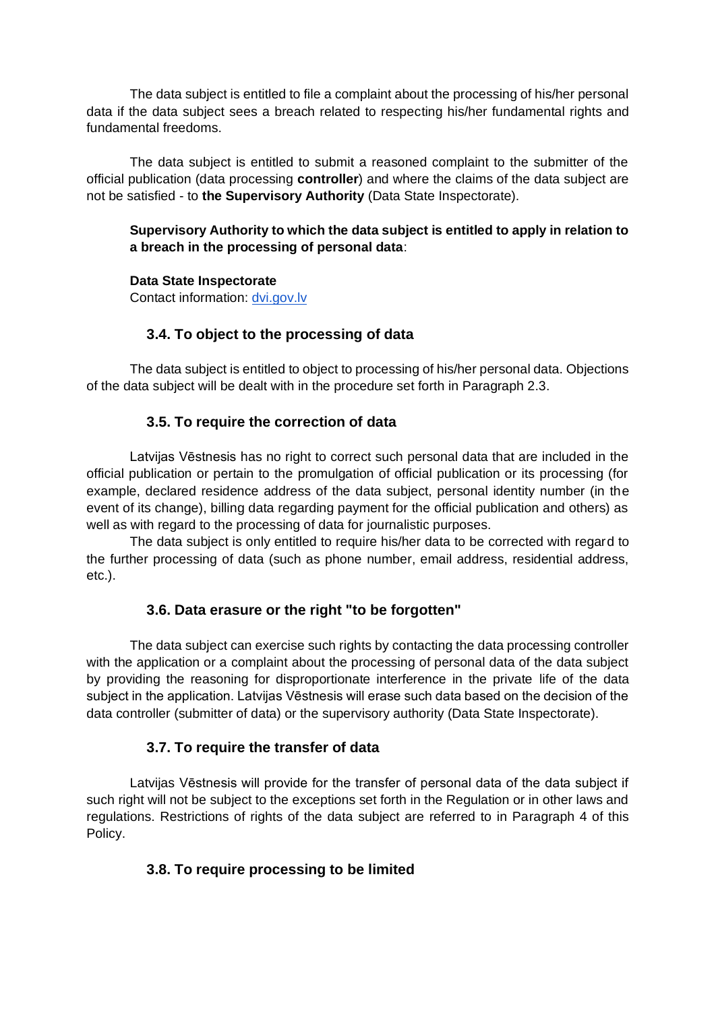The data subject is entitled to file a complaint about the processing of his/her personal data if the data subject sees a breach related to respecting his/her fundamental rights and fundamental freedoms.

The data subject is entitled to submit a reasoned complaint to the submitter of the official publication (data processing **controller**) and where the claims of the data subject are not be satisfied - to **the Supervisory Authority** (Data State Inspectorate).

#### **Supervisory Authority to which the data subject is entitled to apply in relation to a breach in the processing of personal data**:

#### **Data State Inspectorate**

Contact information: dvi.gov.lv

## **3.4. To object to the processing of data**

The data subject is entitled to object to processing of his/her personal data. Objections of the data subject will be dealt with in the procedure set forth in Paragraph 2.3.

#### **3.5. To require the correction of data**

Latvijas Vēstnesis has no right to correct such personal data that are included in the official publication or pertain to the promulgation of official publication or its processing (for example, declared residence address of the data subject, personal identity number (in the event of its change), billing data regarding payment for the official publication and others) as well as with regard to the processing of data for journalistic purposes.

The data subject is only entitled to require his/her data to be corrected with regard to the further processing of data (such as phone number, email address, residential address, etc.).

#### **3.6. Data erasure or the right "to be forgotten"**

The data subject can exercise such rights by contacting the data processing controller with the application or a complaint about the processing of personal data of the data subject by providing the reasoning for disproportionate interference in the private life of the data subject in the application. Latvijas Vēstnesis will erase such data based on the decision of the data controller (submitter of data) or the supervisory authority (Data State Inspectorate).

# **3.7. To require the transfer of data**

Latvijas Vēstnesis will provide for the transfer of personal data of the data subject if such right will not be subject to the exceptions set forth in the Regulation or in other laws and regulations. Restrictions of rights of the data subject are referred to in Paragraph 4 of this Policy.

# **3.8. To require processing to be limited**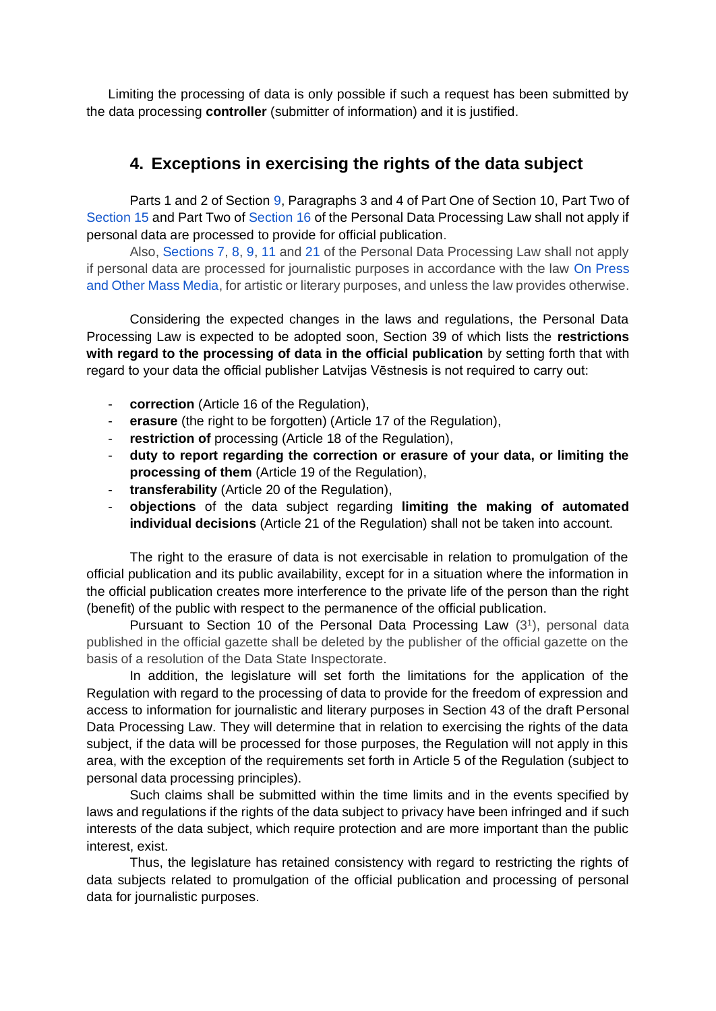Limiting the processing of data is only possible if such a request has been submitted by the data processing **controller** (submitter of information) and it is justified.

# **4. Exceptions in exercising the rights of the data subject**

Parts 1 and 2 of Section [9,](https://likumi.lv/doc.php?id=4042#p9) Paragraphs 3 and 4 of Part One of Section 10[,](https://likumi.lv/doc.php?id=4042#p15) Part Two of [Section 15](https://likumi.lv/doc.php?id=4042#p15) and Part Two of [Section 16](https://likumi.lv/doc.php?id=4042#p16) of the Personal Data Processing Law shall not apply if personal data are processed to provide for official publication.

Also, [Sections 7,](https://likumi.lv/doc.php?id=4042#p7) [8,](https://likumi.lv/doc.php?id=4042#p8) [9,](https://likumi.lv/doc.php?id=4042#p9) [11 a](https://likumi.lv/doc.php?id=4042#p11)nd [21](https://likumi.lv/doc.php?id=4042#p21) of the Personal Data Processing Law shall not apply if personal data are processed for journalistic purposes in accordance with the law [On Press](https://likumi.lv/ta/id/64879-par-presi-un-citiem-masu-informacijas-lidzekliem)  [and Other Mass Media,](https://likumi.lv/ta/id/64879-par-presi-un-citiem-masu-informacijas-lidzekliem) for artistic or literary purposes, and unless the law provides otherwise.

Considering the expected changes in the laws and regulations, the Personal Data Processing Law is expected to be adopted soon, Section 39 of which lists the **restrictions with regard to the processing of data in the official publication** by setting forth that with regard to your data the official publisher Latvijas Vēstnesis is not required to carry out:

- **correction** (Article 16 of the Regulation),
- **erasure** (the right to be forgotten) (Article 17 of the Regulation),
- restriction of processing (Article 18 of the Regulation),
- **duty to report regarding the correction or erasure of your data, or limiting the processing of them** (Article 19 of the Regulation),
- **transferability** (Article 20 of the Regulation),
- **objections** of the data subject regarding **limiting the making of automated individual decisions** (Article 21 of the Regulation) shall not be taken into account.

The right to the erasure of data is not exercisable in relation to promulgation of the official publication and its public availability, except for in a situation where the information in the official publication creates more interference to the private life of the person than the right (benefit) of the public with respect to the permanence of the official publication.

Pursuant to Section 10 of the Personal Data Processing Law  $(3<sup>1</sup>)$ , personal data published in the official gazette shall be deleted by the publisher of the official gazette on the basis of a resolution of the Data State Inspectorate.

In addition, the legislature will set forth the limitations for the application of the Regulation with regard to the processing of data to provide for the freedom of expression and access to information for journalistic and literary purposes in Section 43 of the draft Personal Data Processing Law. They will determine that in relation to exercising the rights of the data subject, if the data will be processed for those purposes, the Regulation will not apply in this area, with the exception of the requirements set forth in Article 5 of the Regulation (subject to personal data processing principles).

Such claims shall be submitted within the time limits and in the events specified by laws and regulations if the rights of the data subject to privacy have been infringed and if such interests of the data subject, which require protection and are more important than the public interest, exist.

Thus, the legislature has retained consistency with regard to restricting the rights of data subjects related to promulgation of the official publication and processing of personal data for journalistic purposes.